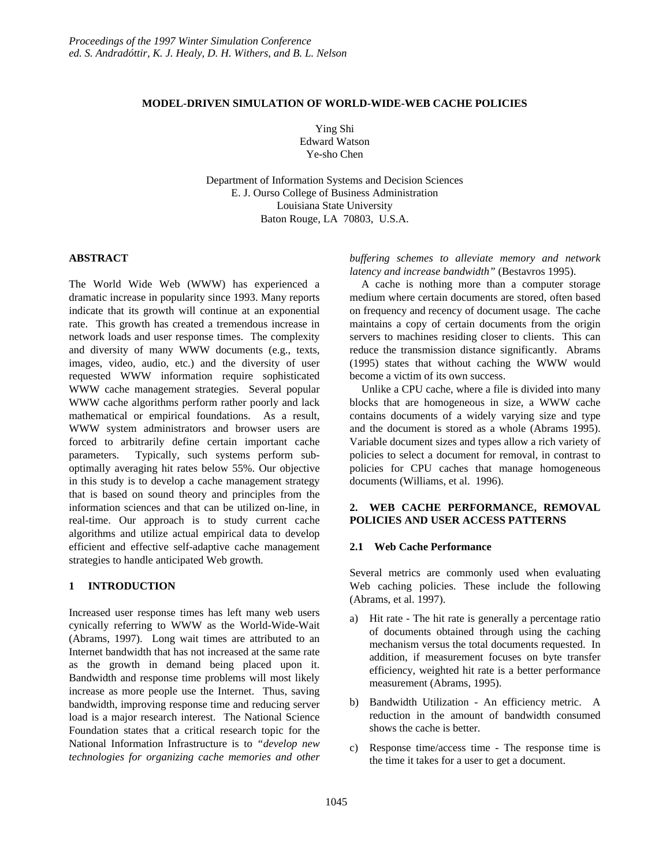## **MODEL-DRIVEN SIMULATION OF WORLD-WIDE-WEB CACHE POLICIES**

Ying Shi Edward Watson Ye-sho Chen

Department of Information Systems and Decision Sciences E. J. Ourso College of Business Administration Louisiana State University Baton Rouge, LA 70803, U.S.A.

# **ABSTRACT**

The World Wide Web (WWW) has experienced a dramatic increase in popularity since 1993. Many reports indicate that its growth will continue at an exponential rate. This growth has created a tremendous increase in network loads and user response times. The complexity and diversity of many WWW documents (e.g., texts, images, video, audio, etc.) and the diversity of user requested WWW information require sophisticated WWW cache management strategies. Several popular WWW cache algorithms perform rather poorly and lack mathematical or empirical foundations. As a result, WWW system administrators and browser users are forced to arbitrarily define certain important cache parameters. Typically, such systems perform suboptimally averaging hit rates below 55%. Our objective in this study is to develop a cache management strategy that is based on sound theory and principles from the information sciences and that can be utilized on-line, in real-time. Our approach is to study current cache algorithms and utilize actual empirical data to develop efficient and effective self-adaptive cache management strategies to handle anticipated Web growth.

# **1 INTRODUCTION**

Increased user response times has left many web users cynically referring to WWW as the World-Wide-Wait (Abrams, 1997). Long wait times are attributed to an Internet bandwidth that has not increased at the same rate as the growth in demand being placed upon it. Bandwidth and response time problems will most likely increase as more people use the Internet. Thus, saving bandwidth, improving response time and reducing server load is a major research interest. The National Science Foundation states that a critical research topic for the National Information Infrastructure is to *"develop new technologies for organizing cache memories and other* *buffering schemes to alleviate memory and network latency and increase bandwidth"* (Bestavros 1995).

A cache is nothing more than a computer storage medium where certain documents are stored, often based on frequency and recency of document usage. The cache maintains a copy of certain documents from the origin servers to machines residing closer to clients. This can reduce the transmission distance significantly. Abrams (1995) states that without caching the WWW would become a victim of its own success.

Unlike a CPU cache, where a file is divided into many blocks that are homogeneous in size, a WWW cache contains documents of a widely varying size and type and the document is stored as a whole (Abrams 1995). Variable document sizes and types allow a rich variety of policies to select a document for removal, in contrast to policies for CPU caches that manage homogeneous documents (Williams, et al. 1996).

# **2. WEB CACHE PERFORMANCE, REMOVAL POLICIES AND USER ACCESS PATTERNS**

# **2.1 Web Cache Performance**

Several metrics are commonly used when evaluating Web caching policies. These include the following (Abrams, et al. 1997).

- a) Hit rate The hit rate is generally a percentage ratio of documents obtained through using the caching mechanism versus the total documents requested. In addition, if measurement focuses on byte transfer efficiency, weighted hit rate is a better performance measurement (Abrams, 1995).
- b) Bandwidth Utilization An efficiency metric. A reduction in the amount of bandwidth consumed shows the cache is better.
- c) Response time/access time The response time is the time it takes for a user to get a document.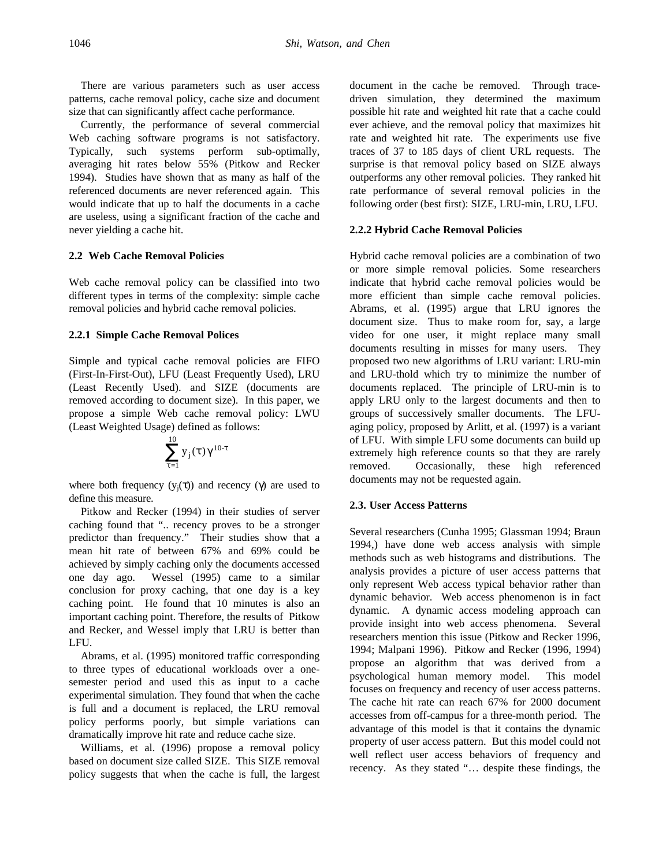There are various parameters such as user access patterns, cache removal policy, cache size and document size that can significantly affect cache performance.

Currently, the performance of several commercial Web caching software programs is not satisfactory. Typically, such systems perform sub-optimally, averaging hit rates below 55% (Pitkow and Recker 1994). Studies have shown that as many as half of the referenced documents are never referenced again. This would indicate that up to half the documents in a cache are useless, using a significant fraction of the cache and never yielding a cache hit.

#### **2.2 Web Cache Removal Policies**

Web cache removal policy can be classified into two different types in terms of the complexity: simple cache removal policies and hybrid cache removal policies.

### **2.2.1 Simple Cache Removal Polices**

Simple and typical cache removal policies are FIFO (First-In-First-Out), LFU (Least Frequently Used), LRU (Least Recently Used). and SIZE (documents are removed according to document size). In this paper, we propose a simple Web cache removal policy: LWU (Least Weighted Usage) defined as follows:

$$
\sum_{\tau=1}^{10} y_j(\tau) \gamma^{10\text{-}\tau}
$$

where both frequency  $(y_i(\tau))$  and recency  $(\gamma)$  are used to define this measure.

Pitkow and Recker (1994) in their studies of server caching found that ".. recency proves to be a stronger predictor than frequency." Their studies show that a mean hit rate of between 67% and 69% could be achieved by simply caching only the documents accessed one day ago. Wessel (1995) came to a similar conclusion for proxy caching, that one day is a key caching point. He found that 10 minutes is also an important caching point. Therefore, the results of Pitkow and Recker, and Wessel imply that LRU is better than LFU.

Abrams, et al. (1995) monitored traffic corresponding to three types of educational workloads over a onesemester period and used this as input to a cache experimental simulation. They found that when the cache is full and a document is replaced, the LRU removal policy performs poorly, but simple variations can dramatically improve hit rate and reduce cache size.

Williams, et al. (1996) propose a removal policy based on document size called SIZE. This SIZE removal policy suggests that when the cache is full, the largest

document in the cache be removed. Through tracedriven simulation, they determined the maximum possible hit rate and weighted hit rate that a cache could ever achieve, and the removal policy that maximizes hit rate and weighted hit rate. The experiments use five traces of 37 to 185 days of client URL requests. The surprise is that removal policy based on SIZE always outperforms any other removal policies. They ranked hit rate performance of several removal policies in the following order (best first): SIZE, LRU-min, LRU, LFU.

#### **2.2.2 Hybrid Cache Removal Policies**

Hybrid cache removal policies are a combination of two or more simple removal policies. Some researchers indicate that hybrid cache removal policies would be more efficient than simple cache removal policies. Abrams, et al. (1995) argue that LRU ignores the document size. Thus to make room for, say, a large video for one user, it might replace many small documents resulting in misses for many users. They proposed two new algorithms of LRU variant: LRU-min and LRU-thold which try to minimize the number of documents replaced. The principle of LRU-min is to apply LRU only to the largest documents and then to groups of successively smaller documents. The LFUaging policy, proposed by Arlitt, et al. (1997) is a variant of LFU. With simple LFU some documents can build up extremely high reference counts so that they are rarely removed. Occasionally, these high referenced documents may not be requested again.

#### **2.3. User Access Patterns**

Several researchers (Cunha 1995; Glassman 1994; Braun 1994,) have done web access analysis with simple methods such as web histograms and distributions. The analysis provides a picture of user access patterns that only represent Web access typical behavior rather than dynamic behavior. Web access phenomenon is in fact dynamic. A dynamic access modeling approach can provide insight into web access phenomena. Several researchers mention this issue (Pitkow and Recker 1996, 1994; Malpani 1996). Pitkow and Recker (1996, 1994) propose an algorithm that was derived from a psychological human memory model. This model focuses on frequency and recency of user access patterns. The cache hit rate can reach 67% for 2000 document accesses from off-campus for a three-month period. The advantage of this model is that it contains the dynamic property of user access pattern. But this model could not well reflect user access behaviors of frequency and recency. As they stated "… despite these findings, the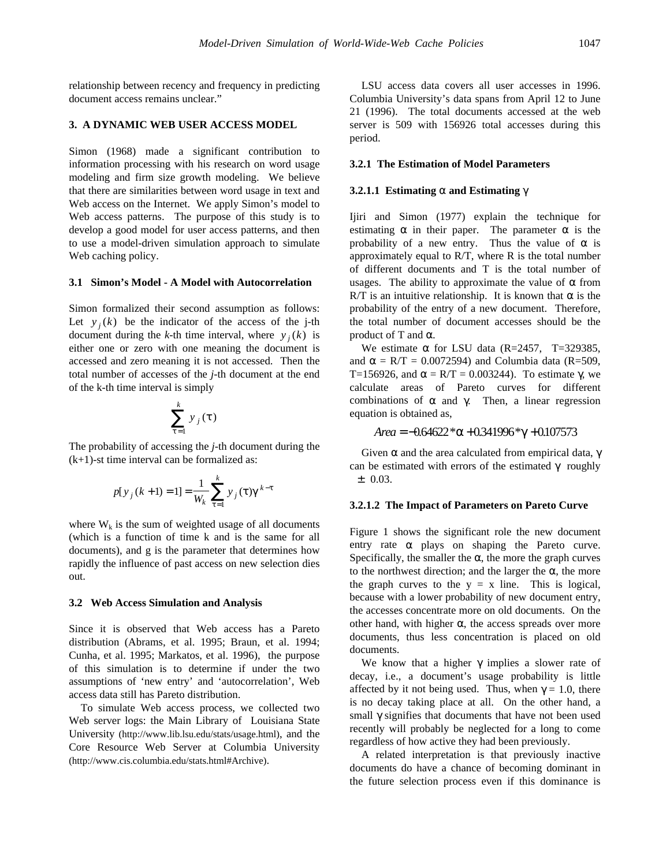relationship between recency and frequency in predicting document access remains unclear."

# **3. A DYNAMIC WEB USER ACCESS MODEL**

Simon (1968) made a significant contribution to information processing with his research on word usage modeling and firm size growth modeling. We believe that there are similarities between word usage in text and Web access on the Internet. We apply Simon's model to Web access patterns. The purpose of this study is to develop a good model for user access patterns, and then to use a model-driven simulation approach to simulate Web caching policy.

### **3.1 Simon's Model - A Model with Autocorrelation**

Simon formalized their second assumption as follows: Let  $y_i(k)$  be the indicator of the access of the j-th document during the *k*-th time interval, where  $y_i(k)$  is either one or zero with one meaning the document is accessed and zero meaning it is not accessed. Then the total number of accesses of the *j*-th document at the end of the k-th time interval is simply

$$
\sum_{\tau=1}^k y_j(\tau)
$$

The probability of accessing the *j*-th document during the  $(k+1)$ -st time interval can be formalized as:

$$
p[y_j(k+1) = 1] = \frac{1}{W_k} \sum_{\tau=1}^{k} y_j(\tau) \gamma^{k-\tau}
$$

where  $W_k$  is the sum of weighted usage of all documents (which is a function of time k and is the same for all documents), and g is the parameter that determines how rapidly the influence of past access on new selection dies out.

#### **3.2 Web Access Simulation and Analysis**

Since it is observed that Web access has a Pareto distribution (Abrams, et al. 1995; Braun, et al. 1994; Cunha, et al. 1995; Markatos, et al. 1996), the purpose of this simulation is to determine if under the two assumptions of 'new entry' and 'autocorrelation', Web access data still has Pareto distribution.

To simulate Web access process, we collected two Web server logs: the Main Library of Louisiana State University (http://www.lib.lsu.edu/stats/usage.html), and the Core Resource Web Server at Columbia University (http://www.cis.columbia.edu/stats.html#Archive).

LSU access data covers all user accesses in 1996. Columbia University's data spans from April 12 to June 21 (1996). The total documents accessed at the web server is 509 with 156926 total accesses during this period.

#### **3.2.1 The Estimation of Model Parameters**

### **3.2.1.1 Estimating** α **and Estimating** γ

Ijiri and Simon (1977) explain the technique for estimating  $\alpha$  in their paper. The parameter  $\alpha$  is the probability of a new entry. Thus the value of  $\alpha$  is approximately equal to  $R/T$ , where R is the total number of different documents and T is the total number of usages. The ability to approximate the value of  $\alpha$  from R/T is an intuitive relationship. It is known that  $\alpha$  is the probability of the entry of a new document. Therefore, the total number of document accesses should be the product of T and  $\alpha$ .

We estimate  $\alpha$  for LSU data (R=2457, T=329385, and  $\alpha = R/T = 0.0072594$ ) and Columbia data (R=509, T=156926, and  $\alpha = R/T = 0.003244$ . To estimate  $\gamma$ , we calculate areas of Pareto curves for different combinations of  $\alpha$  and  $\gamma$ . Then, a linear regression equation is obtained as,

 $Area = -0.64622 * \alpha + 0.341996 * \gamma + 0.107573$ 

Given  $\alpha$  and the area calculated from empirical data,  $\gamma$ can be estimated with errors of the estimated  $\gamma$  roughly  $\pm$  0.03.

#### **3.2.1.2 The Impact of Parameters on Pareto Curve**

Figure 1 shows the significant role the new document entry rate  $\alpha$  plays on shaping the Pareto curve. Specifically, the smaller the  $\alpha$ , the more the graph curves to the northwest direction; and the larger the  $\alpha$ , the more the graph curves to the  $y = x$  line. This is logical, because with a lower probability of new document entry, the accesses concentrate more on old documents. On the other hand, with higher  $\alpha$ , the access spreads over more documents, thus less concentration is placed on old documents.

We know that a higher  $\gamma$  implies a slower rate of decay, i.e., a document's usage probability is little affected by it not being used. Thus, when  $\gamma = 1.0$ , there is no decay taking place at all. On the other hand, a small γ signifies that documents that have not been used recently will probably be neglected for a long to come regardless of how active they had been previously.

A related interpretation is that previously inactive documents do have a chance of becoming dominant in the future selection process even if this dominance is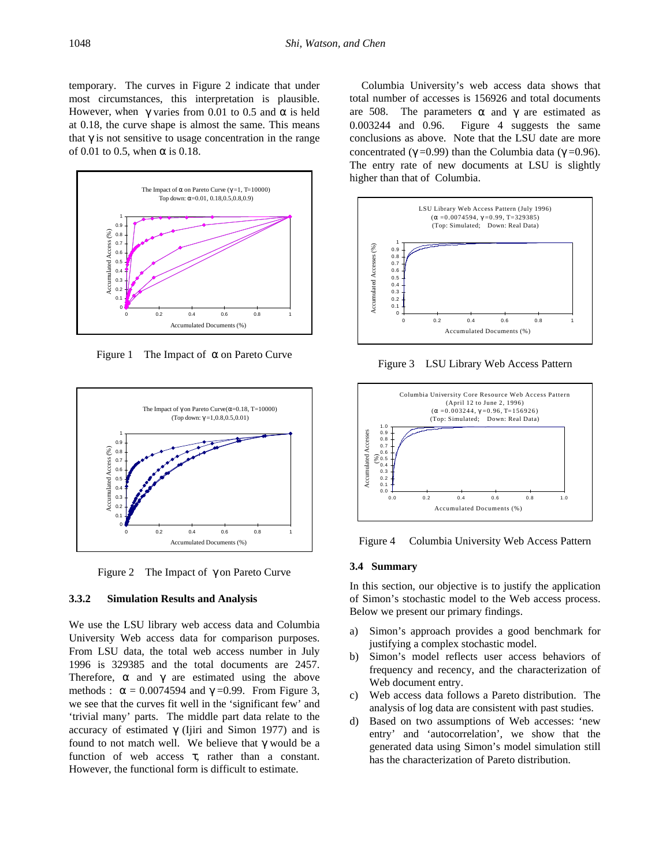temporary. The curves in Figure 2 indicate that under most circumstances, this interpretation is plausible. However, when  $\gamma$  varies from 0.01 to 0.5 and  $\alpha$  is held at 0.18, the curve shape is almost the same. This means that  $γ$  is not sensitive to usage concentration in the range of 0.01 to 0.5, when  $\alpha$  is 0.18.



Figure 1 The Impact of  $\alpha$  on Pareto Curve



Figure 2 The Impact of γ on Pareto Curve

# **3.3.2 Simulation Results and Analysis**

We use the LSU library web access data and Columbia University Web access data for comparison purposes. From LSU data, the total web access number in July 1996 is 329385 and the total documents are 2457. Therefore,  $\alpha$  and  $\gamma$  are estimated using the above methods :  $\alpha = 0.0074594$  and  $\gamma = 0.99$ . From Figure 3, we see that the curves fit well in the 'significant few' and 'trivial many' parts. The middle part data relate to the accuracy of estimated γ (Ijiri and Simon 1977) and is found to not match well. We believe that  $\gamma$  would be a function of web access  $\tau$ , rather than a constant. However, the functional form is difficult to estimate.

Columbia University's web access data shows that total number of accesses is 156926 and total documents are 508. The parameters  $\alpha$  and γ are estimated as 0.003244 and 0.96. Figure 4 suggests the same conclusions as above. Note that the LSU date are more concentrated ( $\gamma$  =0.99) than the Columbia data ( $\gamma$  =0.96). The entry rate of new documents at LSU is slightly higher than that of Columbia.



Figure 3 LSU Library Web Access Pattern



Figure 4 Columbia University Web Access Pattern

### **3.4 Summary**

In this section, our objective is to justify the application of Simon's stochastic model to the Web access process. Below we present our primary findings.

- a) Simon's approach provides a good benchmark for justifying a complex stochastic model.
- b) Simon's model reflects user access behaviors of frequency and recency, and the characterization of Web document entry.
- c) Web access data follows a Pareto distribution. The analysis of log data are consistent with past studies.
- d) Based on two assumptions of Web accesses: 'new entry' and 'autocorrelation', we show that the generated data using Simon's model simulation still has the characterization of Pareto distribution.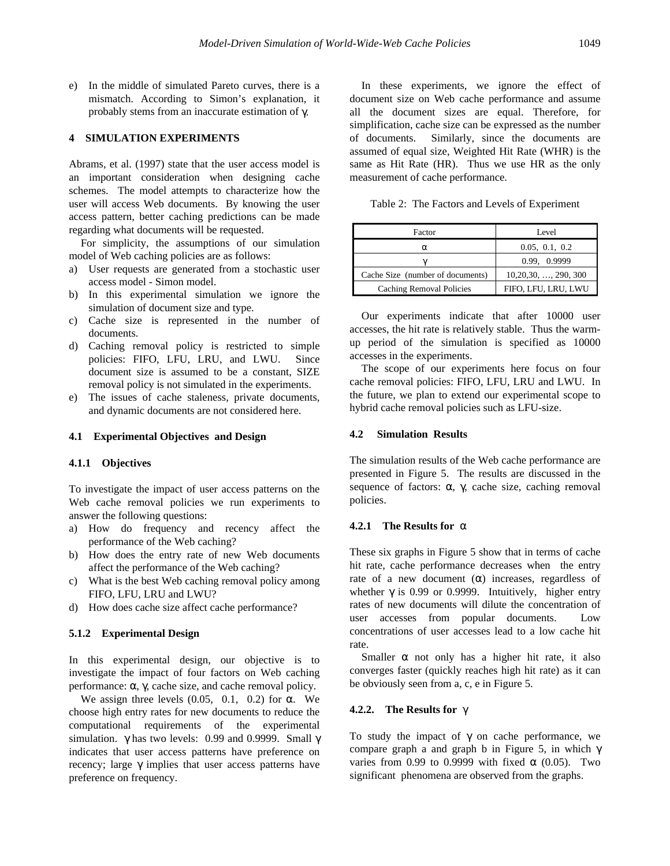e) In the middle of simulated Pareto curves, there is a mismatch. According to Simon's explanation, it probably stems from an inaccurate estimation of γ.

# **4 SIMULATION EXPERIMENTS**

Abrams, et al. (1997) state that the user access model is an important consideration when designing cache schemes. The model attempts to characterize how the user will access Web documents. By knowing the user access pattern, better caching predictions can be made regarding what documents will be requested.

For simplicity, the assumptions of our simulation model of Web caching policies are as follows:

- a) User requests are generated from a stochastic user access model - Simon model.
- b) In this experimental simulation we ignore the simulation of document size and type.
- c) Cache size is represented in the number of documents.
- d) Caching removal policy is restricted to simple policies: FIFO, LFU, LRU, and LWU. Since document size is assumed to be a constant, SIZE removal policy is not simulated in the experiments.
- e) The issues of cache staleness, private documents, and dynamic documents are not considered here.

# **4.1 Experimental Objectives and Design**

#### **4.1.1 Objectives**

To investigate the impact of user access patterns on the Web cache removal policies we run experiments to answer the following questions:

- a) How do frequency and recency affect the performance of the Web caching?
- b) How does the entry rate of new Web documents affect the performance of the Web caching?
- c) What is the best Web caching removal policy among FIFO, LFU, LRU and LWU?
- d) How does cache size affect cache performance?

# **5.1.2 Experimental Design**

In this experimental design, our objective is to investigate the impact of four factors on Web caching performance: α, γ, cache size, and cache removal policy.

We assign three levels  $(0.05, 0.1, 0.2)$  for  $\alpha$ . We choose high entry rates for new documents to reduce the computational requirements of the experimental simulation. γ has two levels: 0.99 and 0.9999. Small γ indicates that user access patterns have preference on recency; large  $γ$  implies that user access patterns have preference on frequency.

In these experiments, we ignore the effect of document size on Web cache performance and assume all the document sizes are equal. Therefore, for simplification, cache size can be expressed as the number of documents. Similarly, since the documents are assumed of equal size, Weighted Hit Rate (WHR) is the same as Hit Rate (HR). Thus we use HR as the only measurement of cache performance.

Table 2: The Factors and Levels of Experiment

| Factor                           | Level                        |
|----------------------------------|------------------------------|
| α                                | 0.05, 0.1, 0.2               |
|                                  | 0.99, 0.9999                 |
| Cache Size (number of documents) | $10,20,30, \ldots, 290, 300$ |
| Caching Removal Policies         | FIFO, LFU, LRU, LWU          |

Our experiments indicate that after 10000 user accesses, the hit rate is relatively stable. Thus the warmup period of the simulation is specified as 10000 accesses in the experiments.

The scope of our experiments here focus on four cache removal policies: FIFO, LFU, LRU and LWU. In the future, we plan to extend our experimental scope to hybrid cache removal policies such as LFU-size.

#### **4.2 Simulation Results**

The simulation results of the Web cache performance are presented in Figure 5. The results are discussed in the sequence of factors:  $\alpha$ ,  $\gamma$ , cache size, caching removal policies.

# **4.2.1 The Results for** α

These six graphs in Figure 5 show that in terms of cache hit rate, cache performance decreases when the entry rate of a new document  $(\alpha)$  increases, regardless of whether  $\gamma$  is 0.99 or 0.9999. Intuitively, higher entry rates of new documents will dilute the concentration of user accesses from popular documents. Low concentrations of user accesses lead to a low cache hit rate.

Smaller  $\alpha$  not only has a higher hit rate, it also converges faster (quickly reaches high hit rate) as it can be obviously seen from a, c, e in Figure 5.

# **4.2.2. The Results for** γ

To study the impact of  $\gamma$  on cache performance, we compare graph a and graph b in Figure 5, in which  $γ$ varies from 0.99 to 0.9999 with fixed  $\alpha$  (0.05). Two significant phenomena are observed from the graphs.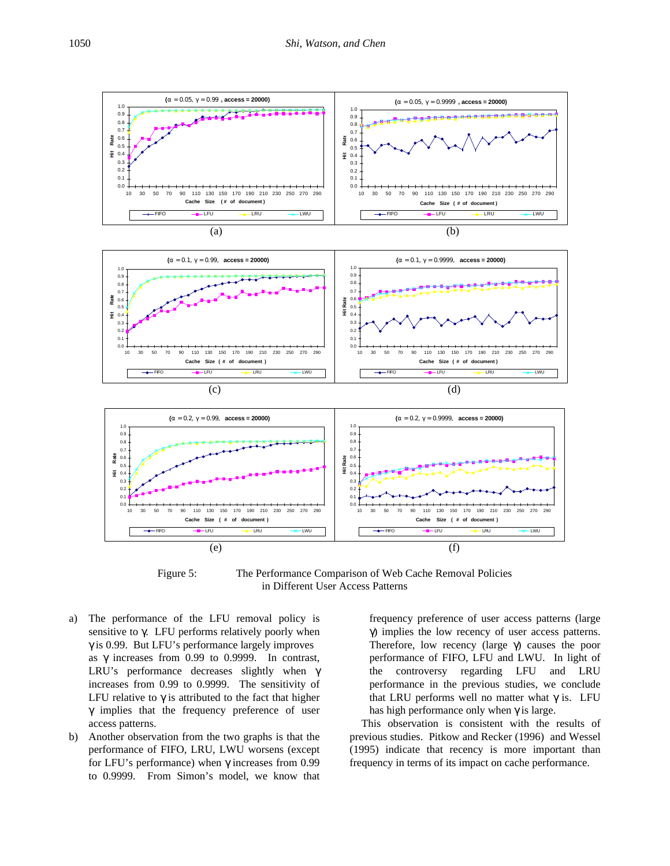

Figure 5: The Performance Comparison of Web Cache Removal Policies in Different User Access Patterns

- a) The performance of the LFU removal policy is sensitive to  $\gamma$ . LFU performs relatively poorly when γ is 0.99. But LFU's performance largely improves as γ increases from 0.99 to 0.9999. In contrast, LRU's performance decreases slightly when γ increases from 0.99 to 0.9999. The sensitivity of LFU relative to  $\gamma$  is attributed to the fact that higher γ implies that the frequency preference of user access patterns.
- b) Another observation from the two graphs is that the performance of FIFO, LRU, LWU worsens (except for LFU's performance) when γ increases from 0.99 to 0.9999. From Simon's model, we know that

frequency preference of user access patterns (large γ) implies the low recency of user access patterns. Therefore, low recency (large  $\gamma$ ) causes the poor performance of FIFO, LFU and LWU. In light of the controversy regarding LFU and LRU performance in the previous studies, we conclude that LRU performs well no matter what  $γ$  is. LFU has high performance only when  $\gamma$  is large.

This observation is consistent with the results of previous studies. Pitkow and Recker (1996) and Wessel (1995) indicate that recency is more important than frequency in terms of its impact on cache performance.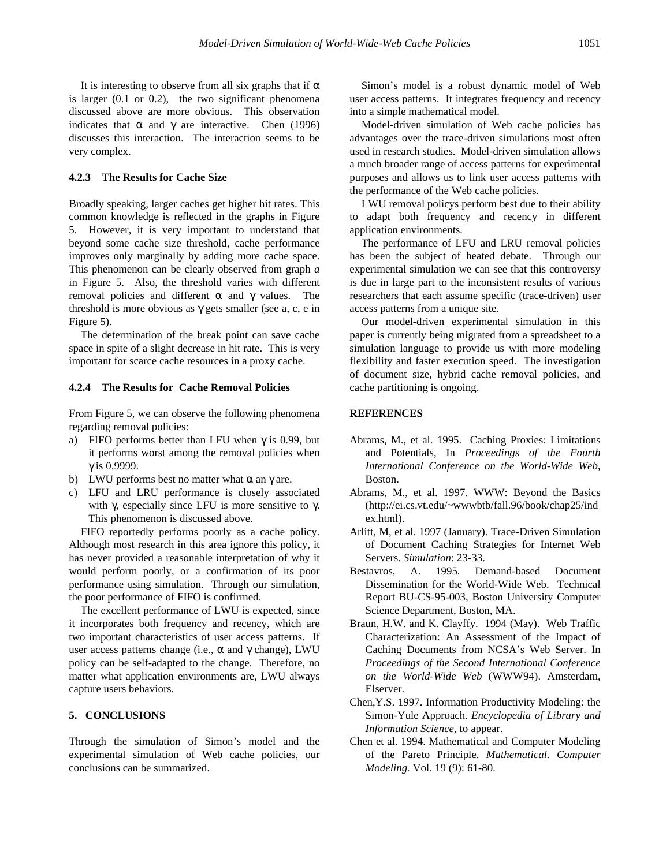It is interesting to observe from all six graphs that if  $\alpha$ is larger (0.1 or 0.2), the two significant phenomena discussed above are more obvious. This observation indicates that  $\alpha$  and  $\gamma$  are interactive. Chen (1996) discusses this interaction. The interaction seems to be very complex.

# **4.2.3 The Results for Cache Size**

Broadly speaking, larger caches get higher hit rates. This common knowledge is reflected in the graphs in Figure 5. However, it is very important to understand that beyond some cache size threshold, cache performance improves only marginally by adding more cache space. This phenomenon can be clearly observed from graph *a* in Figure 5. Also, the threshold varies with different removal policies and different α and γ values. The threshold is more obvious as  $\gamma$  gets smaller (see a, c, e in Figure 5).

The determination of the break point can save cache space in spite of a slight decrease in hit rate. This is very important for scarce cache resources in a proxy cache.

## **4.2.4 The Results for Cache Removal Policies**

From Figure 5, we can observe the following phenomena regarding removal policies:

- a) FIFO performs better than LFU when  $\gamma$  is 0.99, but it performs worst among the removal policies when γ is 0.9999.
- b) LWU performs best no matter what  $\alpha$  an  $\gamma$  are.
- c) LFU and LRU performance is closely associated with γ, especially since LFU is more sensitive to γ. This phenomenon is discussed above.

FIFO reportedly performs poorly as a cache policy. Although most research in this area ignore this policy, it has never provided a reasonable interpretation of why it would perform poorly, or a confirmation of its poor performance using simulation. Through our simulation, the poor performance of FIFO is confirmed.

The excellent performance of LWU is expected, since it incorporates both frequency and recency, which are two important characteristics of user access patterns. If user access patterns change (i.e., α and γ change), LWU policy can be self-adapted to the change. Therefore, no matter what application environments are, LWU always capture users behaviors.

# **5. CONCLUSIONS**

Through the simulation of Simon's model and the experimental simulation of Web cache policies, our conclusions can be summarized.

Simon's model is a robust dynamic model of Web user access patterns. It integrates frequency and recency into a simple mathematical model.

Model-driven simulation of Web cache policies has advantages over the trace-driven simulations most often used in research studies. Model-driven simulation allows a much broader range of access patterns for experimental purposes and allows us to link user access patterns with the performance of the Web cache policies.

LWU removal policys perform best due to their ability to adapt both frequency and recency in different application environments.

The performance of LFU and LRU removal policies has been the subject of heated debate. Through our experimental simulation we can see that this controversy is due in large part to the inconsistent results of various researchers that each assume specific (trace-driven) user access patterns from a unique site.

Our model-driven experimental simulation in this paper is currently being migrated from a spreadsheet to a simulation language to provide us with more modeling flexibility and faster execution speed. The investigation of document size, hybrid cache removal policies, and cache partitioning is ongoing.

# **REFERENCES**

- Abrams, M., et al. 1995. Caching Proxies: Limitations and Potentials, In *Proceedings of the Fourth International Conference on the World-Wide Web*, Boston.
- Abrams, M., et al. 1997. WWW: Beyond the Basics (http://ei.cs.vt.edu/~wwwbtb/fall.96/book/chap25/ind ex.html).
- Arlitt, M, et al. 1997 (January). Trace-Driven Simulation of Document Caching Strategies for Internet Web Servers. *Simulation*: 23-33.
- Bestavros, A. 1995. Demand-based Document Dissemination for the World-Wide Web. Technical Report BU-CS-95-003, Boston University Computer Science Department, Boston, MA.
- Braun, H.W. and K. Clayffy. 1994 (May). Web Traffic Characterization: An Assessment of the Impact of Caching Documents from NCSA's Web Server. In *Proceedings of the Second International Conference on the World-Wide Web* (WWW94). Amsterdam, Elserver.
- Chen,Y.S. 1997. Information Productivity Modeling: the Simon-Yule Approach. *Encyclopedia of Library and Information Science*, to appear.
- Chen et al. 1994. Mathematical and Computer Modeling of the Pareto Principle. *Mathematical. Computer Modeling.* Vol. 19 (9): 61-80.